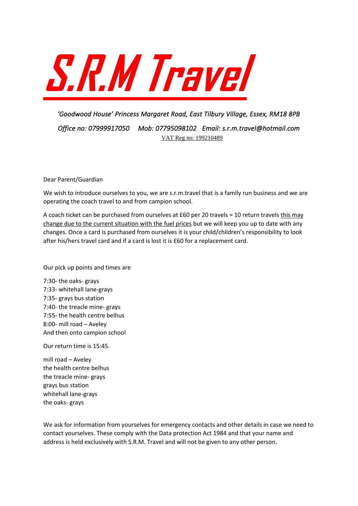

# *'Goodwood House' Princess Margaret Road, East Tilbury Village, Essex, RM18 8PB*

*Office no: 07999917050 Mob: 07795098102 Email: s.r.m.travel@hotmail.com*  VAT Reg no: 199210489

Dear Parent/Guardian

We wish to introduce ourselves to you, we are s.r.m.travel that is a family run business and we are operating the coach travel to and from campion school.

A coach ticket can be purchased from ourselves at £60 per 20 travels = 10 return travels this may change due to the current situation with the fuel prices but we will keep you up to date with any changes. Once a card is purchased from ourselves it is your child/children's responsibility to look after his/hers travel card and if a card is lost it is £60 for a replacement card.

Our pick up points and times are

7:30- the oaks- grays 7:33- whitehall lane-grays 7:35- grays bus station 7:40- the treacle mine- grays 7:55- the health centre belhus 8:00- mill road – Aveley And then onto campion school

Our return time is 15:45.

mill road – Aveley the health centre belhus the treacle mine- grays grays bus station whitehall lane-grays the oaks- grays

We ask for information from yourselves for emergency contacts and other details in case we need to contact yourselves. These comply with the Data protection Act 1984 and that your name and address is held exclusively with S.R.M. Travel and will not be given to any other person.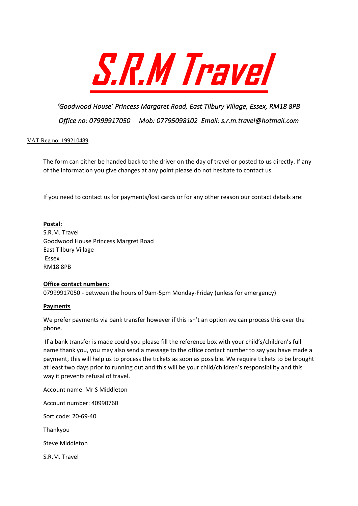

# *'Goodwood House' Princess Margaret Road, East Tilbury Village, Essex, RM18 8PB*

*Office no: 07999917050 Mob: 07795098102 Email: s.r.m.travel@hotmail.com* 

## VAT Reg no: 199210489

The form can either be handed back to the driver on the day of travel or posted to us directly. If any of the information you give changes at any point please do not hesitate to contact us.

If you need to contact us for payments/lost cards or for any other reason our contact details are:

## **Postal:**

S.R.M. Travel Goodwood House Princess Margret Road East Tilbury Village Essex RM18 8PB

#### **Office contact numbers:**

07999917050 - between the hours of 9am-5pm Monday-Friday (unless for emergency)

#### **Payments**

We prefer payments via bank transfer however if this isn't an option we can process this over the phone.

If a bank transfer is made could you please fill the reference box with your child's/children's full name thank you, you may also send a message to the office contact number to say you have made a payment, this will help us to process the tickets as soon as possible. We require tickets to be brought at least two days prior to running out and this will be your child/children's responsibility and this way it prevents refusal of travel.

Account name: Mr S Middleton

Account number: 40990760

Sort code: 20-69-40

Thankyou

Steve Middleton

S.R.M. Travel